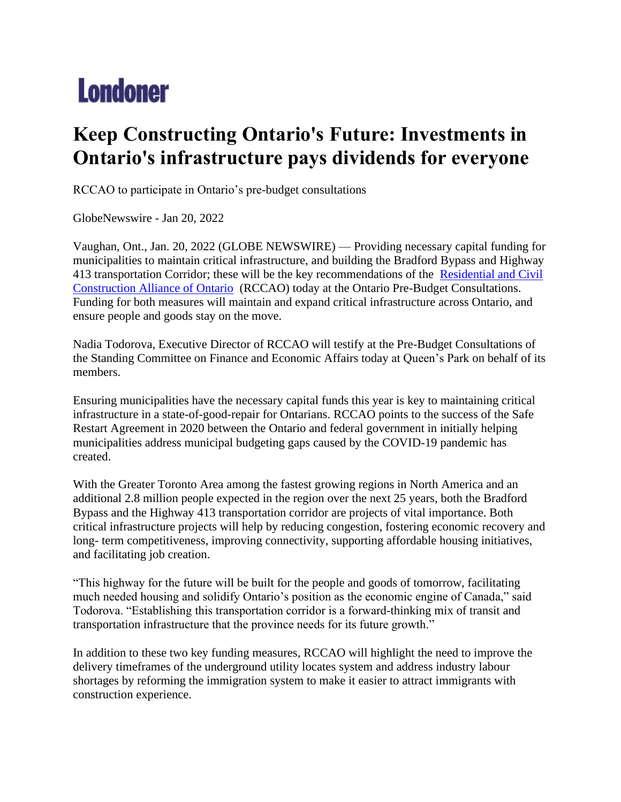## **Londoner**

## **Keep Constructing Ontario's Future: Investments in Ontario's infrastructure pays dividends for everyone**

RCCAO to participate in Ontario's pre-budget consultations

GlobeNewswire - Jan 20, 2022

Vaughan, Ont., Jan. 20, 2022 (GLOBE NEWSWIRE) — Providing necessary capital funding for municipalities to maintain critical infrastructure, and building the Bradford Bypass and Highway 413 transportation Corridor; these will be the key recommendations of the [Residential and Civil](https://www.globenewswire.com/Tracker?data=TLQeMI2JEWHp0uDRJzyJT6Tiq8d048-NT_fJ0qrLUOtjI3StsWkf_nGVaYQfvbbnMHiTaN3Hg9U7qxi5aPcCbaD8JhC4U3TCMdWcCmCexAMfjLWusPFEbJBVnLwM3aJj)  [Construction Alliance of Ontario](https://www.globenewswire.com/Tracker?data=TLQeMI2JEWHp0uDRJzyJT6Tiq8d048-NT_fJ0qrLUOtjI3StsWkf_nGVaYQfvbbnMHiTaN3Hg9U7qxi5aPcCbaD8JhC4U3TCMdWcCmCexAMfjLWusPFEbJBVnLwM3aJj) (RCCAO) today at the Ontario Pre-Budget Consultations. Funding for both measures will maintain and expand critical infrastructure across Ontario, and ensure people and goods stay on the move.

Nadia Todorova, Executive Director of RCCAO will testify at the Pre-Budget Consultations of the Standing Committee on Finance and Economic Affairs today at Queen's Park on behalf of its members.

Ensuring municipalities have the necessary capital funds this year is key to maintaining critical infrastructure in a state-of-good-repair for Ontarians. RCCAO points to the success of the Safe Restart Agreement in 2020 between the Ontario and federal government in initially helping municipalities address municipal budgeting gaps caused by the COVID-19 pandemic has created.

With the Greater Toronto Area among the fastest growing regions in North America and an additional 2.8 million people expected in the region over the next 25 years, both the Bradford Bypass and the Highway 413 transportation corridor are projects of vital importance. Both critical infrastructure projects will help by reducing congestion, fostering economic recovery and long- term competitiveness, improving connectivity, supporting affordable housing initiatives, and facilitating job creation.

"This highway for the future will be built for the people and goods of tomorrow, facilitating much needed housing and solidify Ontario's position as the economic engine of Canada," said Todorova. "Establishing this transportation corridor is a forward-thinking mix of transit and transportation infrastructure that the province needs for its future growth."

In addition to these two key funding measures, RCCAO will highlight the need to improve the delivery timeframes of the underground utility locates system and address industry labour shortages by reforming the immigration system to make it easier to attract immigrants with construction experience.